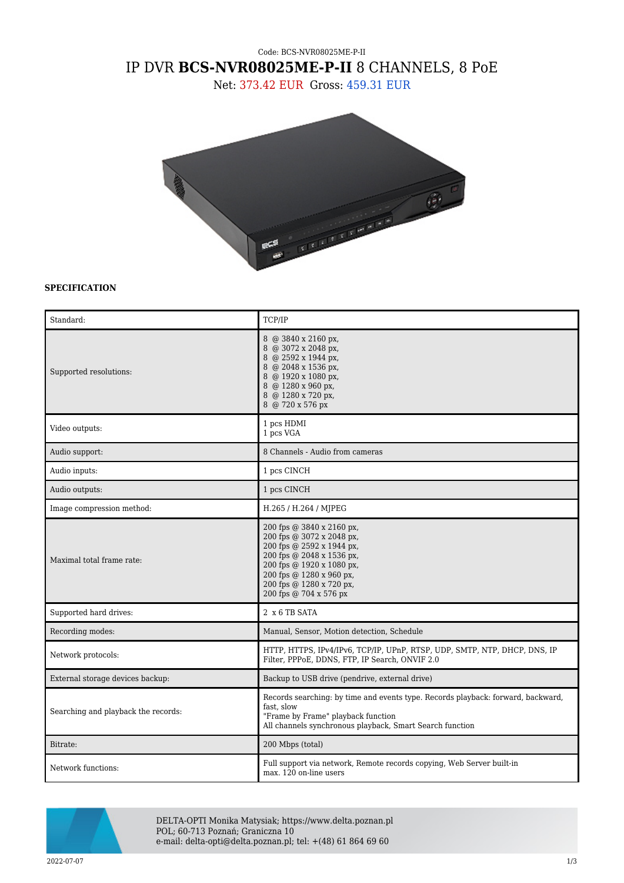## Code: BCS-NVR08025ME-P-II IP DVR **BCS-NVR08025ME-P-II** 8 CHANNELS, 8 PoE

Net: 373.42 EUR Gross: 459.31 EUR



## **SPECIFICATION**

| Standard:                           | TCP/IP                                                                                                                                                                                                                          |
|-------------------------------------|---------------------------------------------------------------------------------------------------------------------------------------------------------------------------------------------------------------------------------|
| Supported resolutions:              | 8 @ 3840 x 2160 px,<br>8 @ 3072 x 2048 px,<br>8 @ 2592 x 1944 px,<br>8 @ 2048 x 1536 px,<br>8 @ 1920 x 1080 px,<br>8 @ 1280 x 960 px,<br>8 @ 1280 x 720 px,<br>8 @ 720 x 576 px                                                 |
| Video outputs:                      | 1 pcs HDMI<br>1 pcs VGA                                                                                                                                                                                                         |
| Audio support:                      | 8 Channels - Audio from cameras                                                                                                                                                                                                 |
| Audio inputs:                       | 1 pcs CINCH                                                                                                                                                                                                                     |
| Audio outputs:                      | 1 pcs CINCH                                                                                                                                                                                                                     |
| Image compression method:           | H.265 / H.264 / MJPEG                                                                                                                                                                                                           |
| Maximal total frame rate:           | 200 fps @ 3840 x 2160 px,<br>200 fps @ 3072 x 2048 px,<br>200 fps @ 2592 x 1944 px,<br>200 fps @ 2048 x 1536 px,<br>200 fps @ 1920 x 1080 px,<br>200 fps @ 1280 x 960 px,<br>200 fps @ 1280 x 720 px,<br>200 fps @ 704 x 576 px |
| Supported hard drives:              | 2 x 6 TB SATA                                                                                                                                                                                                                   |
| Recording modes:                    | Manual, Sensor, Motion detection, Schedule                                                                                                                                                                                      |
| Network protocols:                  | HTTP, HTTPS, IPv4/IPv6, TCP/IP, UPnP, RTSP, UDP, SMTP, NTP, DHCP, DNS, IP<br>Filter, PPPoE, DDNS, FTP, IP Search, ONVIF 2.0                                                                                                     |
| External storage devices backup:    | Backup to USB drive (pendrive, external drive)                                                                                                                                                                                  |
| Searching and playback the records: | Records searching: by time and events type. Records playback: forward, backward,<br>fast, slow<br>"Frame by Frame" playback function<br>All channels synchronous playback, Smart Search function                                |
| Bitrate:                            | 200 Mbps (total)                                                                                                                                                                                                                |
| Network functions:                  | Full support via network, Remote records copying, Web Server built-in<br>max. 120 on-line users                                                                                                                                 |



DELTA-OPTI Monika Matysiak; https://www.delta.poznan.pl POL; 60-713 Poznań; Graniczna 10 e-mail: delta-opti@delta.poznan.pl; tel: +(48) 61 864 69 60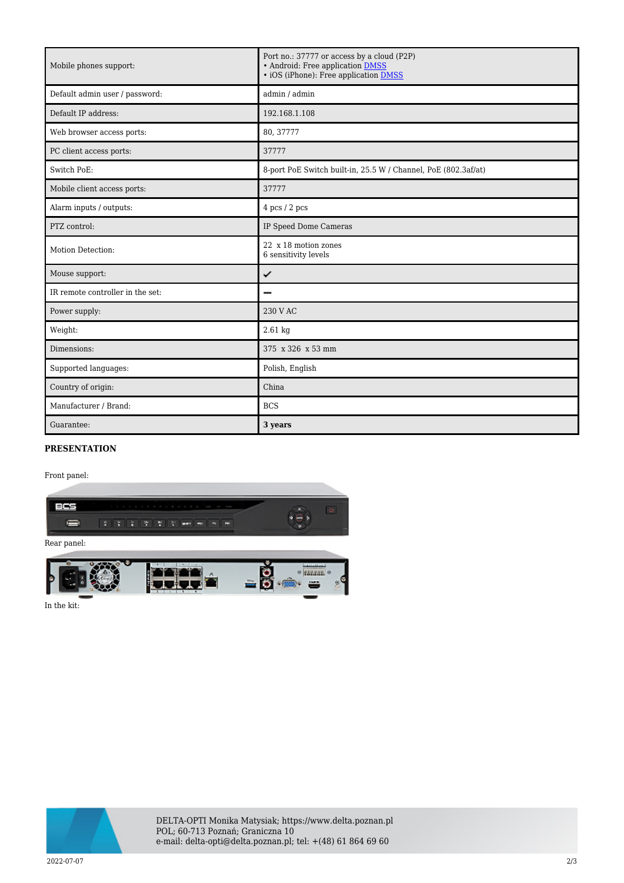| Mobile phones support:           | Port no.: 37777 or access by a cloud (P2P)<br>• Android: Free application <b>DMSS</b><br>• iOS (iPhone): Free application DMSS |
|----------------------------------|--------------------------------------------------------------------------------------------------------------------------------|
| Default admin user / password:   | admin / admin                                                                                                                  |
| Default IP address:              | 192.168.1.108                                                                                                                  |
| Web browser access ports:        | 80, 37777                                                                                                                      |
| PC client access ports:          | 37777                                                                                                                          |
| Switch PoE:                      | 8-port PoE Switch built-in, 25.5 W / Channel, PoE (802.3af/at)                                                                 |
| Mobile client access ports:      | 37777                                                                                                                          |
| Alarm inputs / outputs:          | 4 pcs / 2 pcs                                                                                                                  |
| PTZ control:                     | IP Speed Dome Cameras                                                                                                          |
| Motion Detection:                | 22 x 18 motion zones<br>6 sensitivity levels                                                                                   |
| Mouse support:                   | ✓                                                                                                                              |
| IR remote controller in the set: |                                                                                                                                |
| Power supply:                    | 230 V AC                                                                                                                       |
| Weight:                          | 2.61 kg                                                                                                                        |
| Dimensions:                      | 375 x 326 x 53 mm                                                                                                              |
| Supported languages:             | Polish, English                                                                                                                |
| Country of origin:               | China                                                                                                                          |
| Manufacturer / Brand:            | <b>BCS</b>                                                                                                                     |
| Guarantee:                       | 3 years                                                                                                                        |

## **PRESENTATION**

Front panel:



In the kit: